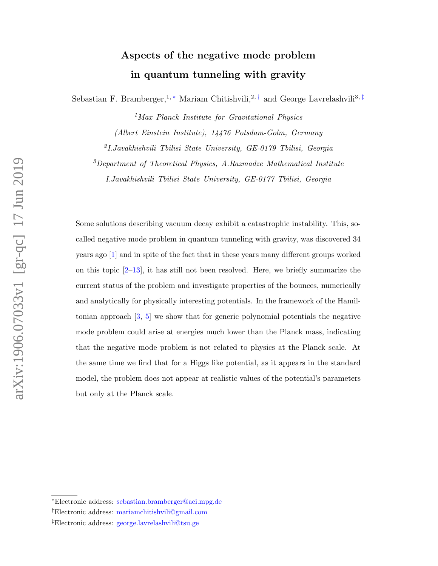# Aspects of the negative mode problem in quantum tunneling with gravity

Sebastian F. Bramberger,<sup>1,\*</sup> Mariam Chitishvili,<sup>2,[†](#page-0-1)</sup> and George Lavrelashvili<sup>3,[‡](#page-0-2)</sup>

<sup>1</sup>Max Planck Institute for Gravitational Physics

(Albert Einstein Institute), 14476 Potsdam-Golm, Germany

2 I.Javakhishvili Tbilisi State University, GE-0179 Tbilisi, Georgia

 $3$ Department of Theoretical Physics, A.Razmadze Mathematical Institute

I.Javakhishvili Tbilisi State University, GE-0177 Tbilisi, Georgia

Some solutions describing vacuum decay exhibit a catastrophic instability. This, socalled negative mode problem in quantum tunneling with gravity, was discovered 34 years ago [\[1\]](#page-14-0) and in spite of the fact that in these years many different groups worked on this topic  $[2-13]$  $[2-13]$ , it has still not been resolved. Here, we briefly summarize the current status of the problem and investigate properties of the bounces, numerically and analytically for physically interesting potentials. In the framework of the Hamiltonian approach [\[3,](#page-14-2) [5\]](#page-14-3) we show that for generic polynomial potentials the negative mode problem could arise at energies much lower than the Planck mass, indicating that the negative mode problem is not related to physics at the Planck scale. At the same time we find that for a Higgs like potential, as it appears in the standard model, the problem does not appear at realistic values of the potential's parameters but only at the Planck scale.

<span id="page-0-1"></span><span id="page-0-0"></span><sup>∗</sup>Electronic address: [sebastian.bramberger@aei.mpg.de](mailto:sebastian.bramberger@aei.mpg.de)

<span id="page-0-2"></span><sup>†</sup>Electronic address: [mariamchitishvili@gmail.com](mailto:mariamchitishvili@gmail.com)

<sup>‡</sup>Electronic address: [george.lavrelashvili@tsu.ge](mailto:george.lavrelashvili@tsu.ge)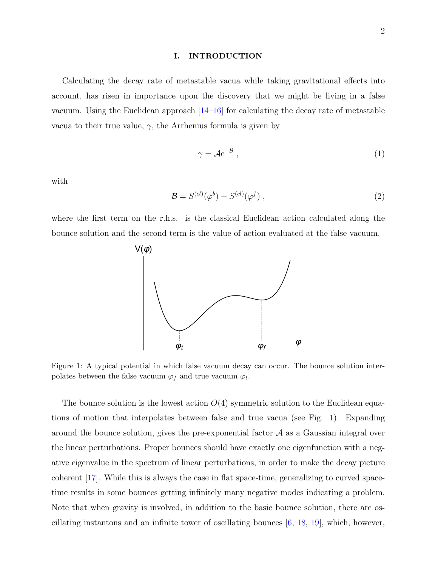#### I. INTRODUCTION

Calculating the decay rate of metastable vacua while taking gravitational effects into account, has risen in importance upon the discovery that we might be living in a false vacuum. Using the Euclidean approach [\[14–](#page-15-1)[16\]](#page-15-2) for calculating the decay rate of metastable vacua to their true value,  $\gamma$ , the Arrhenius formula is given by

<span id="page-1-1"></span>
$$
\gamma = A e^{-B}, \qquad (1)
$$

with

$$
\mathcal{B} = S^{(cl)}(\varphi^b) - S^{(cl)}(\varphi^f) \tag{2}
$$

where the first term on the r.h.s. is the classical Euclidean action calculated along the bounce solution and the second term is the value of action evaluated at the false vacuum.



<span id="page-1-0"></span>Figure 1: A typical potential in which false vacuum decay can occur. The bounce solution interpolates between the false vacuum  $\varphi_f$  and true vacuum  $\varphi_t$ .

The bounce solution is the lowest action  $O(4)$  symmetric solution to the Euclidean equations of motion that interpolates between false and true vacua (see Fig. [1\)](#page-1-0). Expanding around the bounce solution, gives the pre-exponential factor  $A$  as a Gaussian integral over the linear perturbations. Proper bounces should have exactly one eigenfunction with a negative eigenvalue in the spectrum of linear perturbations, in order to make the decay picture coherent [\[17\]](#page-15-3). While this is always the case in flat space-time, generalizing to curved spacetime results in some bounces getting infinitely many negative modes indicating a problem. Note that when gravity is involved, in addition to the basic bounce solution, there are oscillating instantons and an infinite tower of oscillating bounces [\[6,](#page-15-4) [18,](#page-15-5) [19\]](#page-15-6), which, however,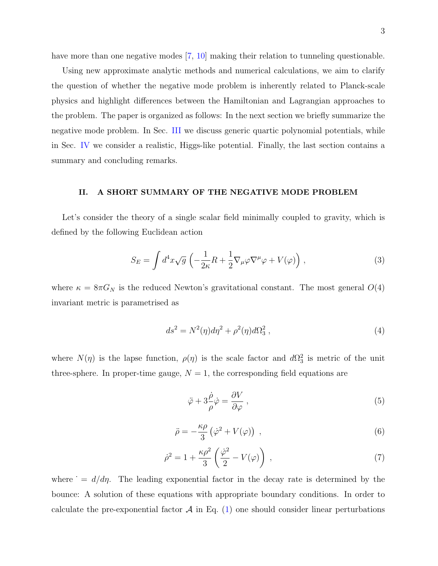have more than one negative modes [\[7,](#page-15-7) [10\]](#page-15-8) making their relation to tunneling questionable.

Using new approximate analytic methods and numerical calculations, we aim to clarify the question of whether the negative mode problem is inherently related to Planck-scale physics and highlight differences between the Hamiltonian and Lagrangian approaches to the problem. The paper is organized as follows: In the next section we briefly summarize the negative mode problem. In Sec. [III](#page-5-0) we discuss generic quartic polynomial potentials, while in Sec. [IV](#page-11-0) we consider a realistic, Higgs-like potential. Finally, the last section contains a summary and concluding remarks.

## II. A SHORT SUMMARY OF THE NEGATIVE MODE PROBLEM

Let's consider the theory of a single scalar field minimally coupled to gravity, which is defined by the following Euclidean action

$$
S_E = \int d^4x \sqrt{g} \left( -\frac{1}{2\kappa} R + \frac{1}{2} \nabla_\mu \varphi \nabla^\mu \varphi + V(\varphi) \right),\tag{3}
$$

where  $\kappa = 8\pi G_N$  is the reduced Newton's gravitational constant. The most general  $O(4)$ invariant metric is parametrised as

$$
ds^2 = N^2(\eta)d\eta^2 + \rho^2(\eta)d\Omega_3^2,
$$
\n<sup>(4)</sup>

where  $N(\eta)$  is the lapse function,  $\rho(\eta)$  is the scale factor and  $d\Omega_3^2$  is metric of the unit three-sphere. In proper-time gauge,  $N = 1$ , the corresponding field equations are

$$
\ddot{\varphi} + 3\frac{\dot{\rho}}{\rho}\dot{\varphi} = \frac{\partial V}{\partial \varphi} , \qquad (5)
$$

$$
\ddot{\rho} = -\frac{\kappa \rho}{3} \left( \dot{\varphi}^2 + V(\varphi) \right) , \qquad (6)
$$

$$
\dot{\rho}^2 = 1 + \frac{\kappa \rho^2}{3} \left( \frac{\dot{\varphi}^2}{2} - V(\varphi) \right) ,\qquad (7)
$$

where  $d/d\eta$ . The leading exponential factor in the decay rate is determined by the bounce: A solution of these equations with appropriate boundary conditions. In order to calculate the pre-exponential factor  $\mathcal A$  in Eq. [\(1\)](#page-1-1) one should consider linear perturbations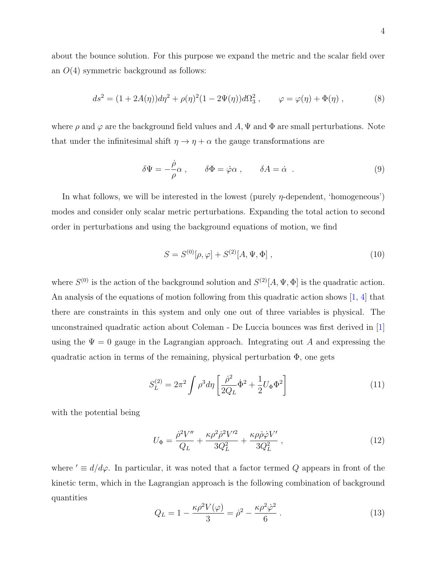about the bounce solution. For this purpose we expand the metric and the scalar field over an  $O(4)$  symmetric background as follows:

$$
ds^{2} = (1 + 2A(\eta))d\eta^{2} + \rho(\eta)^{2}(1 - 2\Psi(\eta))d\Omega_{3}^{2}, \qquad \varphi = \varphi(\eta) + \Phi(\eta) , \qquad (8)
$$

where  $\rho$  and  $\varphi$  are the background field values and A,  $\Psi$  and  $\Phi$  are small perturbations. Note that under the infinitesimal shift  $\eta \to \eta + \alpha$  the gauge transformations are

<span id="page-3-0"></span>
$$
\delta\Psi = -\frac{\dot{\rho}}{\rho}\alpha \;, \qquad \delta\Phi = \dot{\varphi}\alpha \;, \qquad \delta A = \dot{\alpha} \; . \tag{9}
$$

In what follows, we will be interested in the lowest (purely  $\eta$ -dependent, 'homogeneous') modes and consider only scalar metric perturbations. Expanding the total action to second order in perturbations and using the background equations of motion, we find

$$
S = S^{(0)}[\rho, \varphi] + S^{(2)}[A, \Psi, \Phi] , \qquad (10)
$$

where  $S^{(0)}$  is the action of the background solution and  $S^{(2)}[A, \Psi, \Phi]$  is the quadratic action. An analysis of the equations of motion following from this quadratic action shows [\[1,](#page-14-0) [4\]](#page-14-4) that there are constraints in this system and only one out of three variables is physical. The unconstrained quadratic action about Coleman - De Luccia bounces was first derived in [\[1\]](#page-14-0) using the  $\Psi = 0$  gauge in the Lagrangian approach. Integrating out A and expressing the quadratic action in terms of the remaining, physical perturbation  $\Phi$ , one gets

$$
S_L^{(2)} = 2\pi^2 \int \rho^3 d\eta \left[ \frac{\dot{\rho}^2}{2Q_L} \dot{\Phi}^2 + \frac{1}{2} U_{\Phi} \Phi^2 \right]
$$
 (11)

with the potential being

$$
U_{\Phi} = \frac{\dot{\rho}^2 V''}{Q_L} + \frac{\kappa \rho^2 \dot{\rho}^2 V'^2}{3Q_L^2} + \frac{\kappa \rho \dot{\rho} \dot{\varphi} V'}{3Q_L^2} , \qquad (12)
$$

where  $\prime \equiv d/d\varphi$ . In particular, it was noted that a factor termed Q appears in front of the kinetic term, which in the Lagrangian approach is the following combination of background quantities

<span id="page-3-1"></span>
$$
Q_L = 1 - \frac{\kappa \rho^2 V(\varphi)}{3} = \dot{\rho}^2 - \frac{\kappa \rho^2 \dot{\varphi}^2}{6} \,. \tag{13}
$$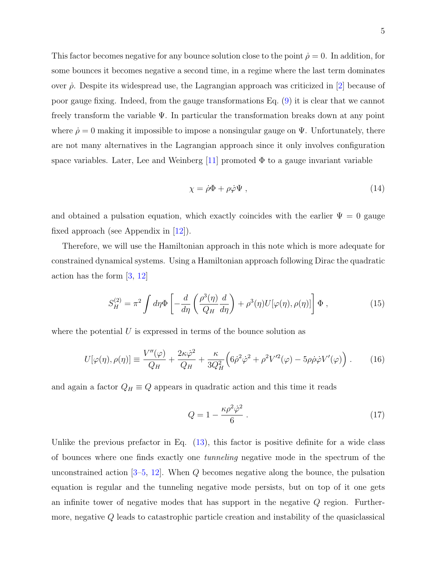This factor becomes negative for any bounce solution close to the point  $\rho = 0$ . In addition, for some bounces it becomes negative a second time, in a regime where the last term dominates over  $\dot{\rho}$ . Despite its widespread use, the Lagrangian approach was criticized in [\[2\]](#page-14-1) because of poor gauge fixing. Indeed, from the gauge transformations Eq. [\(9\)](#page-3-0) it is clear that we cannot freely transform the variable Ψ. In particular the transformation breaks down at any point where  $\dot{\rho} = 0$  making it impossible to impose a nonsingular gauge on  $\Psi$ . Unfortunately, there are not many alternatives in the Lagrangian approach since it only involves configuration space variables. Later, Lee and Weinberg  $[11]$  promoted  $\Phi$  to a gauge invariant variable

$$
\chi = \dot{\rho}\Phi + \rho\dot{\varphi}\Psi\,,\tag{14}
$$

and obtained a pulsation equation, which exactly coincides with the earlier  $\Psi = 0$  gauge fixed approach (see Appendix in [\[12\]](#page-15-10)).

Therefore, we will use the Hamiltonian approach in this note which is more adequate for constrained dynamical systems. Using a Hamiltonian approach following Dirac the quadratic action has the form [\[3,](#page-14-2) [12\]](#page-15-10)

$$
S_H^{(2)} = \pi^2 \int d\eta \Phi \left[ -\frac{d}{d\eta} \left( \frac{\rho^3(\eta)}{Q_H} \frac{d}{d\eta} \right) + \rho^3(\eta) U[\varphi(\eta), \rho(\eta)] \right] \Phi , \qquad (15)
$$

where the potential  $U$  is expressed in terms of the bounce solution as

$$
U[\varphi(\eta), \rho(\eta)] \equiv \frac{V''(\varphi)}{Q_H} + \frac{2\kappa \dot{\varphi}^2}{Q_H} + \frac{\kappa}{3Q_H^2} \left(6\dot{\rho}^2 \dot{\varphi}^2 + \rho^2 V'^2(\varphi) - 5\rho \dot{\rho} \dot{\varphi} V'(\varphi)\right). \tag{16}
$$

and again a factor  $Q_H \equiv Q$  appears in quadratic action and this time it reads

<span id="page-4-0"></span>
$$
Q = 1 - \frac{\kappa \rho^2 \dot{\varphi}^2}{6} \,. \tag{17}
$$

Unlike the previous prefactor in Eq.  $(13)$ , this factor is positive definite for a wide class of bounces where one finds exactly one tunneling negative mode in the spectrum of the unconstrained action  $[3-5, 12]$  $[3-5, 12]$  $[3-5, 12]$  $[3-5, 12]$ . When Q becomes negative along the bounce, the pulsation equation is regular and the tunneling negative mode persists, but on top of it one gets an infinite tower of negative modes that has support in the negative  $Q$  region. Furthermore, negative Q leads to catastrophic particle creation and instability of the quasiclassical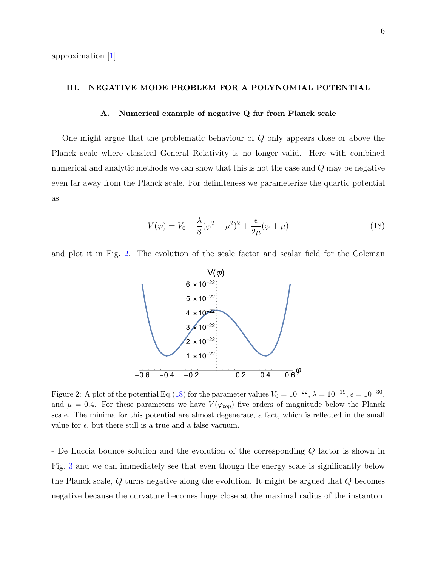approximation [\[1\]](#page-14-0).

### <span id="page-5-0"></span>III. NEGATIVE MODE PROBLEM FOR A POLYNOMIAL POTENTIAL

## A. Numerical example of negative Q far from Planck scale

One might argue that the problematic behaviour of Q only appears close or above the Planck scale where classical General Relativity is no longer valid. Here with combined numerical and analytic methods we can show that this is not the case and Q may be negative even far away from the Planck scale. For definiteness we parameterize the quartic potential as

<span id="page-5-2"></span>
$$
V(\varphi) = V_0 + \frac{\lambda}{8}(\varphi^2 - \mu^2)^2 + \frac{\epsilon}{2\mu}(\varphi + \mu)
$$
 (18)

and plot it in Fig. [2.](#page-5-1) The evolution of the scale factor and scalar field for the Coleman



<span id="page-5-1"></span>Figure 2: A plot of the potential Eq.[\(18\)](#page-5-2) for the parameter values  $V_0 = 10^{-22}$ ,  $\lambda = 10^{-19}$ ,  $\epsilon = 10^{-30}$ , and  $\mu = 0.4$ . For these parameters we have  $V(\varphi_{top})$  five orders of magnitude below the Planck scale. The minima for this potential are almost degenerate, a fact, which is reflected in the small value for  $\epsilon$ , but there still is a true and a false vacuum.

- De Luccia bounce solution and the evolution of the corresponding Q factor is shown in Fig. [3](#page-6-0) and we can immediately see that even though the energy scale is significantly below the Planck scale, Q turns negative along the evolution. It might be argued that Q becomes negative because the curvature becomes huge close at the maximal radius of the instanton.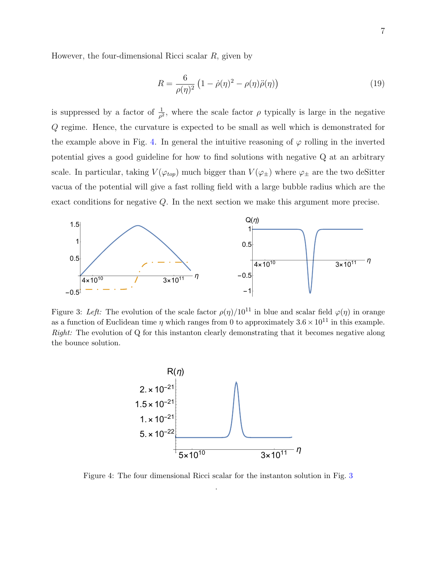However, the four-dimensional Ricci scalar R, given by

$$
R = \frac{6}{\rho(\eta)^2} \left(1 - \dot{\rho}(\eta)^2 - \rho(\eta)\ddot{\rho}(\eta)\right) \tag{19}
$$

is suppressed by a factor of  $\frac{1}{\rho^2}$ , where the scale factor  $\rho$  typically is large in the negative Q regime. Hence, the curvature is expected to be small as well which is demonstrated for the example above in Fig. [4.](#page-6-1) In general the intuitive reasoning of  $\varphi$  rolling in the inverted potential gives a good guideline for how to find solutions with negative Q at an arbitrary scale. In particular, taking  $V(\varphi_{top})$  much bigger than  $V(\varphi_{\pm})$  where  $\varphi_{\pm}$  are the two deSitter vacua of the potential will give a fast rolling field with a large bubble radius which are the exact conditions for negative Q. In the next section we make this argument more precise.



<span id="page-6-0"></span>Figure 3: Left: The evolution of the scale factor  $\rho(\eta)/10^{11}$  in blue and scalar field  $\varphi(\eta)$  in orange as a function of Euclidean time  $\eta$  which ranges from 0 to approximately  $3.6 \times 10^{11}$  in this example. Right: The evolution of Q for this instanton clearly demonstrating that it becomes negative along the bounce solution.



<span id="page-6-1"></span>Figure 4: The four dimensional Ricci scalar for the instanton solution in Fig. [3](#page-6-0) .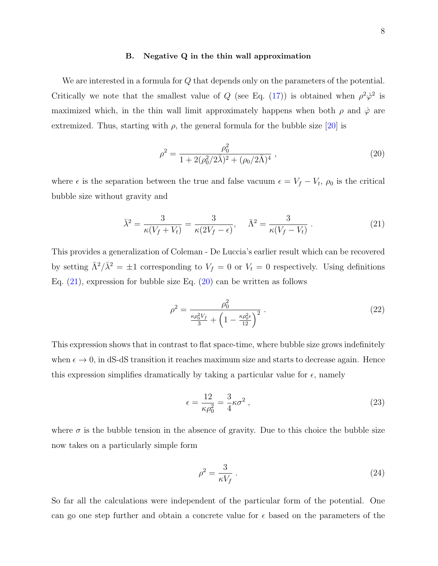#### B. Negative Q in the thin wall approximation

We are interested in a formula for Q that depends only on the parameters of the potential. Critically we note that the smallest value of Q (see Eq. [\(17\)](#page-4-0)) is obtained when  $\rho^2 \dot{\varphi}^2$  is maximized which, in the thin wall limit approximately happens when both  $\rho$  and  $\dot{\varphi}$  are extremized. Thus, starting with  $\rho$ , the general formula for the bubble size [\[20\]](#page-16-0) is

<span id="page-7-1"></span>
$$
\rho^2 = \frac{\rho_0^2}{1 + 2(\rho_0^2/2\bar{\lambda})^2 + (\rho_0/2\bar{\Lambda})^4} ,\qquad (20)
$$

where  $\epsilon$  is the separation between the true and false vacuum  $\epsilon = V_f - V_t$ ,  $\rho_0$  is the critical bubble size without gravity and

$$
\bar{\lambda}^2 = \frac{3}{\kappa(V_f + V_t)} = \frac{3}{\kappa(2V_f - \epsilon)}, \quad \bar{\Lambda}^2 = \frac{3}{\kappa(V_f - V_t)}.
$$
\n(21)

This provides a generalization of Coleman - De Luccia's earlier result which can be recovered by setting  $\bar{\Lambda}^2/\bar{\lambda}^2 = \pm 1$  corresponding to  $V_f = 0$  or  $V_t = 0$  respectively. Using definitions Eq. [\(21\)](#page-7-0), expression for bubble size Eq. [\(20\)](#page-7-1) can be written as follows

<span id="page-7-0"></span>
$$
\rho^2 = \frac{\rho_0^2}{\frac{\kappa \rho_0^2 V_f}{3} + \left(1 - \frac{\kappa \rho_0^2 \epsilon}{12}\right)^2} \,. \tag{22}
$$

This expression shows that in contrast to flat space-time, where bubble size grows indefinitely when  $\epsilon \to 0$ , in dS-dS transition it reaches maximum size and starts to decrease again. Hence this expression simplifies dramatically by taking a particular value for  $\epsilon$ , namely

$$
\epsilon = \frac{12}{\kappa \rho_0^2} = \frac{3}{4} \kappa \sigma^2 \,, \tag{23}
$$

where  $\sigma$  is the bubble tension in the absence of gravity. Due to this choice the bubble size now takes on a particularly simple form

$$
\rho^2 = \frac{3}{\kappa V_f} \,. \tag{24}
$$

So far all the calculations were independent of the particular form of the potential. One can go one step further and obtain a concrete value for  $\epsilon$  based on the parameters of the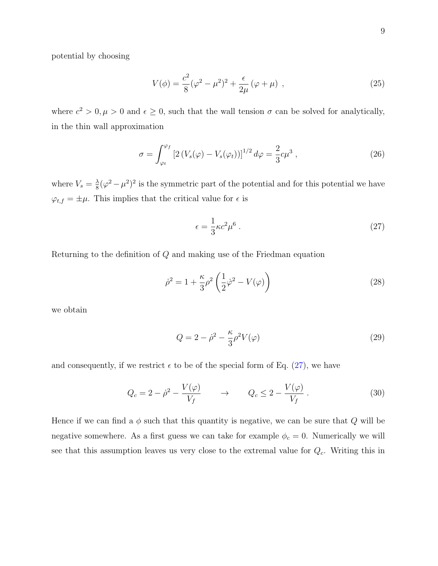potential by choosing

<span id="page-8-1"></span>
$$
V(\phi) = \frac{c^2}{8}(\varphi^2 - \mu^2)^2 + \frac{\epsilon}{2\mu}(\varphi + \mu) \tag{25}
$$

where  $c^2 > 0, \mu > 0$  and  $\epsilon \geq 0$ , such that the wall tension  $\sigma$  can be solved for analytically, in the thin wall approximation

$$
\sigma = \int_{\varphi_t}^{\varphi_f} \left[ 2 \left( V_s(\varphi) - V_s(\varphi_t) \right) \right]^{1/2} d\varphi = \frac{2}{3} c \mu^3 , \qquad (26)
$$

where  $V_s = \frac{\lambda}{8}$  $\frac{\lambda}{8}(\varphi^2 - \mu^2)^2$  is the symmetric part of the potential and for this potential we have  $\varphi_{t,f} = \pm \mu$ . This implies that the critical value for  $\epsilon$  is

<span id="page-8-0"></span>
$$
\epsilon = \frac{1}{3}\kappa c^2 \mu^6 \,. \tag{27}
$$

Returning to the definition of Q and making use of the Friedman equation

$$
\dot{\rho}^2 = 1 + \frac{\kappa}{3}\rho^2 \left(\frac{1}{2}\dot{\varphi}^2 - V(\varphi)\right)
$$
\n(28)

we obtain

$$
Q = 2 - \dot{\rho}^2 - \frac{\kappa}{3} \rho^2 V(\varphi)
$$
\n(29)

and consequently, if we restrict  $\epsilon$  to be of the special form of Eq. [\(27\)](#page-8-0), we have

$$
Q_c = 2 - \dot{\rho}^2 - \frac{V(\varphi)}{V_f} \qquad \to \qquad Q_c \le 2 - \frac{V(\varphi)}{V_f} \,. \tag{30}
$$

Hence if we can find a  $\phi$  such that this quantity is negative, we can be sure that Q will be negative somewhere. As a first guess we can take for example  $\phi_c = 0$ . Numerically we will see that this assumption leaves us very close to the extremal value for  $Q_c$ . Writing this in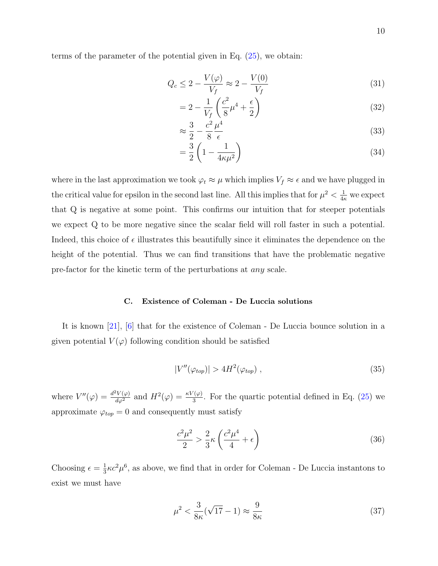terms of the parameter of the potential given in Eq. [\(25\)](#page-8-1), we obtain:

$$
Q_c \le 2 - \frac{V(\varphi)}{V_f} \approx 2 - \frac{V(0)}{V_f} \tag{31}
$$

$$
=2-\frac{1}{V_f}\left(\frac{c^2}{8}\mu^4+\frac{\epsilon}{2}\right)
$$
\n(32)

$$
\approx \frac{3}{2} - \frac{c^2}{8} \frac{\mu^4}{\epsilon} \tag{33}
$$

$$
=\frac{3}{2}\left(1-\frac{1}{4\kappa\mu^2}\right) \tag{34}
$$

where in the last approximation we took  $\varphi_t \approx \mu$  which implies  $V_f \approx \epsilon$  and we have plugged in the critical value for epsilon in the second last line. All this implies that for  $\mu^2 < \frac{1}{4\kappa}$  we expect that Q is negative at some point. This confirms our intuition that for steeper potentials we expect Q to be more negative since the scalar field will roll faster in such a potential. Indeed, this choice of  $\epsilon$  illustrates this beautifully since it eliminates the dependence on the height of the potential. Thus we can find transitions that have the problematic negative pre-factor for the kinetic term of the perturbations at any scale.

#### C. Existence of Coleman - De Luccia solutions

It is known [\[21\]](#page-16-1), [\[6\]](#page-15-4) that for the existence of Coleman - De Luccia bounce solution in a given potential  $V(\varphi)$  following condition should be satisfied

$$
|V''(\varphi_{top})| > 4H^2(\varphi_{top}), \qquad (35)
$$

where  $V''(\varphi) = \frac{d^2 V(\varphi)}{d\varphi^2}$  and  $H^2(\varphi) = \frac{\kappa V(\varphi)}{3}$ . For the quartic potential defined in Eq. [\(25\)](#page-8-1) we approximate  $\varphi_{top} = 0$  and consequently must satisfy

$$
\frac{c^2\mu^2}{2} > \frac{2}{3}\kappa \left(\frac{c^2\mu^4}{4} + \epsilon\right)
$$
\n(36)

Choosing  $\epsilon = \frac{1}{3}$  $\frac{1}{3}\kappa c^2 \mu^6$ , as above, we find that in order for Coleman - De Luccia instantons to exist we must have

$$
\mu^2 < \frac{3}{8\kappa}(\sqrt{17} - 1) \approx \frac{9}{8\kappa} \tag{37}
$$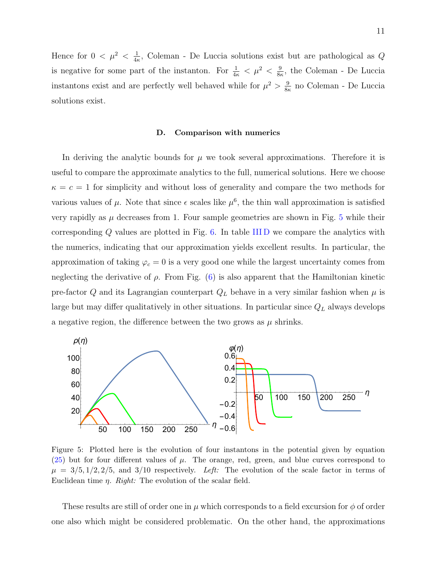Hence for  $0 < \mu^2 < \frac{1}{4}$  $\frac{1}{4\kappa}$ , Coleman - De Luccia solutions exist but are pathological as Q is negative for some part of the instanton. For  $\frac{1}{4\kappa} < \mu^2 < \frac{9}{8\kappa}$  $\frac{9}{8\kappa}$ , the Coleman - De Luccia instantons exist and are perfectly well behaved while for  $\mu^2 > \frac{9}{8}$  $\frac{9}{8\kappa}$  no Coleman - De Luccia solutions exist.

#### D. Comparison with numerics

In deriving the analytic bounds for  $\mu$  we took several approximations. Therefore it is useful to compare the approximate analytics to the full, numerical solutions. Here we choose  $\kappa = c = 1$  for simplicity and without loss of generality and compare the two methods for various values of  $\mu$ . Note that since  $\epsilon$  scales like  $\mu^6$ , the thin wall approximation is satisfied very rapidly as  $\mu$  decreases from 1. Four sample geometries are shown in Fig. [5](#page-10-0) while their corresponding  $Q$  values are plotted in Fig. [6.](#page-11-1) In table IIID we compare the analytics with the numerics, indicating that our approximation yields excellent results. In particular, the approximation of taking  $\varphi_c = 0$  is a very good one while the largest uncertainty comes from neglecting the derivative of  $\rho$ . From Fig. [\(6\)](#page-11-1) is also apparent that the Hamiltonian kinetic pre-factor Q and its Lagrangian counterpart  $Q_L$  behave in a very similar fashion when  $\mu$  is large but may differ qualitatively in other situations. In particular since  $Q_L$  always develops a negative region, the difference between the two grows as  $\mu$  shrinks.



<span id="page-10-0"></span>Figure 5: Plotted here is the evolution of four instantons in the potential given by equation  $(25)$  but for four different values of  $\mu$ . The orange, red, green, and blue curves correspond to  $\mu = 3/5, 1/2, 2/5,$  and  $3/10$  respectively. Left: The evolution of the scale factor in terms of Euclidean time η. Right: The evolution of the scalar field.

These results are still of order one in  $\mu$  which corresponds to a field excursion for  $\phi$  of order one also which might be considered problematic. On the other hand, the approximations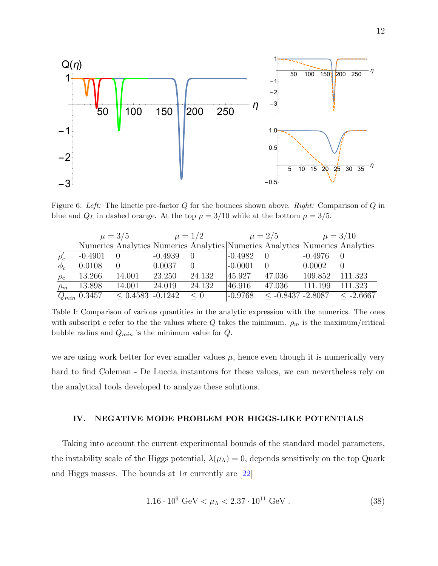

<span id="page-11-1"></span>Figure 6: Left: The kinetic pre-factor  $Q$  for the bounces shown above. Right: Comparison of  $Q$  in blue and  $Q_L$  in dashed orange. At the top  $\mu = 3/10$  while at the bottom  $\mu = 3/5$ .

|             | $\mu = 3/5$      |                    | $\mu = 1/2$ |                  | $\mu = 2/5$ |                                                                             | $\mu = 3/10$     |          |
|-------------|------------------|--------------------|-------------|------------------|-------------|-----------------------------------------------------------------------------|------------------|----------|
|             |                  |                    |             |                  |             | Numerics Analytics Numerics Analytics Numerics Analytics Numerics Analytics |                  |          |
| $\rho'_{c}$ | $-0.4901$        | $\theta$           | $-0.4939$   | $\left( \right)$ | $-0.4982$   | $\bigcirc$                                                                  | $ -0.4976 $      | $\theta$ |
| $\phi_c$    | 0.0108           | $\Omega$           | 0.0037      | $\theta$         | $ -0.0001 $ | $\Omega$                                                                    | $ 0.0002\rangle$ | $\Omega$ |
| $\rho_c$    | 13.266           | 14.001             | 23.250      | 24.132           | 45.927      | 47.036                                                                      | 109.852          | 111.323  |
| $\rho_m$    | 13.898           | 14.001             | 24.019      | 24.132           | 46.916      | 47.036                                                                      | 111.199          | 111.323  |
|             | $Q_{min}$ 0.3457 | $< 0.4583$ -0.1242 |             | $\leq 0$         | $-0.9768$   | $\leq$ -0.8437 -2.8087 $\leq$ -2.6667                                       |                  |          |

Table I: Comparison of various quantities in the analytic expression with the numerics. The ones with subscript c refer to the the values where  $Q$  takes the minimum.  $\rho_m$  is the maximum/critical bubble radius and  $Q_{min}$  is the minimum value for  $Q$ .

we are using work better for ever smaller values  $\mu$ , hence even though it is numerically very hard to find Coleman - De Luccia instantons for these values, we can nevertheless rely on the analytical tools developed to analyze these solutions.

## <span id="page-11-0"></span>IV. NEGATIVE MODE PROBLEM FOR HIGGS-LIKE POTENTIALS

Taking into account the current experimental bounds of the standard model parameters, the instability scale of the Higgs potential,  $\lambda(\mu_{\Lambda}) = 0$ , depends sensitively on the top Quark and Higgs masses. The bounds at  $1\sigma$  currently are [\[22\]](#page-16-2)

$$
1.16 \cdot 10^9 \text{ GeV} < \mu_{\Lambda} < 2.37 \cdot 10^{11} \text{ GeV} \,. \tag{38}
$$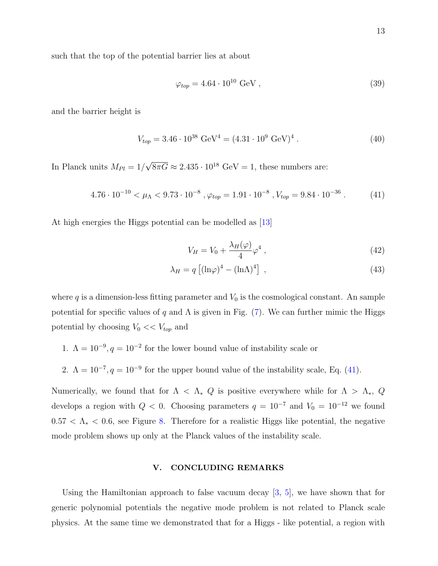such that the top of the potential barrier lies at about

$$
\varphi_{top} = 4.64 \cdot 10^{10} \text{ GeV},\tag{39}
$$

and the barrier height is

$$
V_{top} = 3.46 \cdot 10^{38} \text{ GeV}^4 = (4.31 \cdot 10^9 \text{ GeV})^4. \tag{40}
$$

In Planck units  $M_{Pl} = 1/$ √  $\overline{8\pi G} \approx 2.435 \cdot 10^{18}$  GeV = 1, these numbers are:

<span id="page-12-0"></span>
$$
4.76 \cdot 10^{-10} < \mu_{\Lambda} < 9.73 \cdot 10^{-8}, \varphi_{top} = 1.91 \cdot 10^{-8}, V_{top} = 9.84 \cdot 10^{-36} \,. \tag{41}
$$

At high energies the Higgs potential can be modelled as [\[13\]](#page-15-0)

<span id="page-12-1"></span>
$$
V_H = V_0 + \frac{\lambda_H(\varphi)}{4} \varphi^4 \,, \tag{42}
$$

$$
\lambda_H = q \left[ (\ln \varphi)^4 - (\ln \Lambda)^4 \right] \tag{43}
$$

where q is a dimension-less fitting parameter and  $V_0$  is the cosmological constant. An sample potential for specific values of q and  $\Lambda$  is given in Fig. [\(7\)](#page-13-0). We can further mimic the Higgs potential by choosing  $V_0 \ll V_{top}$  and

- 1.  $\Lambda = 10^{-9}$ ,  $q = 10^{-2}$  for the lower bound value of instability scale or
- 2.  $\Lambda = 10^{-7}$ ,  $q = 10^{-9}$  for the upper bound value of the instability scale, Eq. [\(41\)](#page-12-0).

Numerically, we found that for  $\Lambda < \Lambda_* Q$  is positive everywhere while for  $\Lambda > \Lambda_*$ , Q develops a region with  $Q < 0$ . Choosing parameters  $q = 10^{-7}$  and  $V_0 = 10^{-12}$  we found  $0.57 < \Lambda_* < 0.6$ , see Figure [8.](#page-13-1) Therefore for a realistic Higgs like potential, the negative mode problem shows up only at the Planck values of the instability scale.

## V. CONCLUDING REMARKS

Using the Hamiltonian approach to false vacuum decay [\[3,](#page-14-2) [5\]](#page-14-3), we have shown that for generic polynomial potentials the negative mode problem is not related to Planck scale physics. At the same time we demonstrated that for a Higgs - like potential, a region with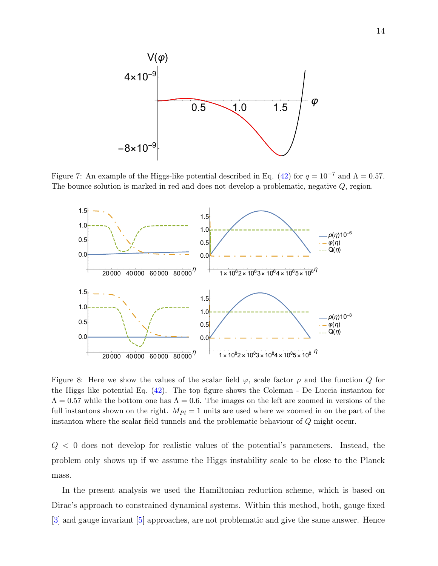

<span id="page-13-0"></span>Figure 7: An example of the Higgs-like potential described in Eq. [\(42\)](#page-12-1) for  $q = 10^{-7}$  and  $\Lambda = 0.57$ . The bounce solution is marked in red and does not develop a problematic, negative Q, region.



<span id="page-13-1"></span>Figure 8: Here we show the values of the scalar field  $\varphi$ , scale factor  $\rho$  and the function  $Q$  for the Higgs like potential Eq.  $(42)$ . The top figure shows the Coleman - De Luccia instanton for  $\Lambda = 0.57$  while the bottom one has  $\Lambda = 0.6$ . The images on the left are zoomed in versions of the full instantons shown on the right.  $M_{Pl} = 1$  units are used where we zoomed in on the part of the instanton where the scalar field tunnels and the problematic behaviour of Q might occur.

 $Q < 0$  does not develop for realistic values of the potential's parameters. Instead, the problem only shows up if we assume the Higgs instability scale to be close to the Planck mass.

In the present analysis we used the Hamiltonian reduction scheme, which is based on Dirac's approach to constrained dynamical systems. Within this method, both, gauge fixed [\[3\]](#page-14-2) and gauge invariant [\[5\]](#page-14-3) approaches, are not problematic and give the same answer. Hence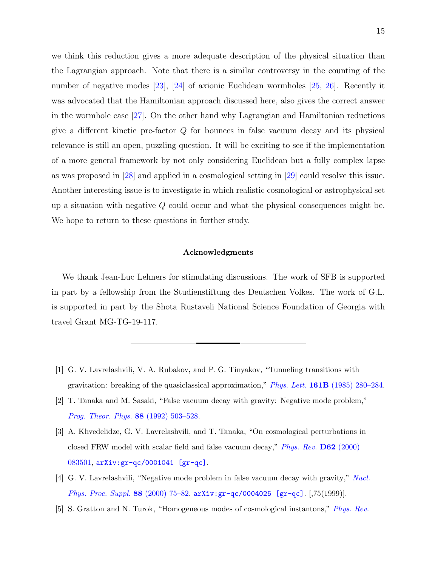we think this reduction gives a more adequate description of the physical situation than the Lagrangian approach. Note that there is a similar controversy in the counting of the number of negative modes [\[23\]](#page-16-3), [\[24\]](#page-16-4) of axionic Euclidean wormholes [\[25,](#page-16-5) [26\]](#page-16-6). Recently it was advocated that the Hamiltonian approach discussed here, also gives the correct answer in the wormhole case [\[27\]](#page-16-7). On the other hand why Lagrangian and Hamiltonian reductions give a different kinetic pre-factor Q for bounces in false vacuum decay and its physical relevance is still an open, puzzling question. It will be exciting to see if the implementation of a more general framework by not only considering Euclidean but a fully complex lapse as was proposed in [\[28\]](#page-16-8) and applied in a cosmological setting in [\[29\]](#page-16-9) could resolve this issue. Another interesting issue is to investigate in which realistic cosmological or astrophysical set up a situation with negative  $Q$  could occur and what the physical consequences might be. We hope to return to these questions in further study.

#### Acknowledgments

We thank Jean-Luc Lehners for stimulating discussions. The work of SFB is supported in part by a fellowship from the Studienstiftung des Deutschen Volkes. The work of G.L. is supported in part by the Shota Rustaveli National Science Foundation of Georgia with travel Grant MG-TG-19-117.

- <span id="page-14-0"></span>[1] G. V. Lavrelashvili, V. A. Rubakov, and P. G. Tinyakov, "Tunneling transitions with gravitation: breaking of the quasiclassical approximation," Phys. Lett. 161B [\(1985\) 280–284.](http://dx.doi.org/10.1016/0370-2693(85)90761-0)
- <span id="page-14-1"></span>[2] T. Tanaka and M. Sasaki, "False vacuum decay with gravity: Negative mode problem," [Prog. Theor. Phys.](http://dx.doi.org/10.1143/PTP.88.503) 88 (1992) 503–528.
- <span id="page-14-2"></span>[3] A. Khvedelidze, G. V. Lavrelashvili, and T. Tanaka, "On cosmological perturbations in closed FRW model with scalar field and false vacuum decay," [Phys. Rev.](http://dx.doi.org/10.1103/PhysRevD.62.083501) D62 (2000) [083501,](http://dx.doi.org/10.1103/PhysRevD.62.083501) [arXiv:gr-qc/0001041 \[gr-qc\]](http://arxiv.org/abs/gr-qc/0001041).
- <span id="page-14-4"></span>[4] G. V. Lavrelashvili, "Negative mode problem in false vacuum decay with gravity," [Nucl.](http://dx.doi.org/10.1016/S0920-5632(00)00756-8) *[Phys. Proc. Suppl.](http://dx.doi.org/10.1016/S0920-5632(00)00756-8)* 88 (2000) 75–82,  $arXiv:gr-qc/0004025$  [gr-qc]. [75(1999)].
- <span id="page-14-3"></span>[5] S. Gratton and N. Turok, "Homogeneous modes of cosmological instantons," [Phys. Rev.](http://dx.doi.org/10.1103/PhysRevD.63.123514)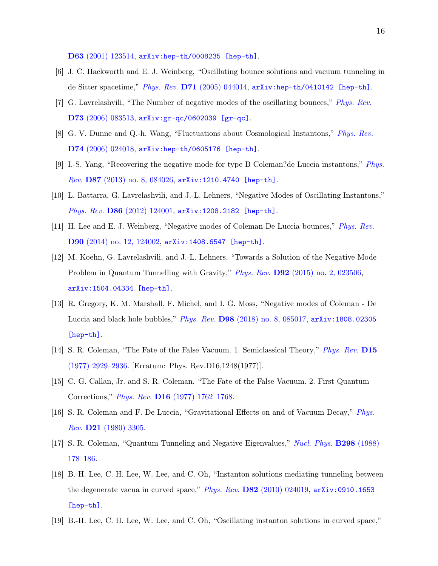D63 [\(2001\) 123514,](http://dx.doi.org/10.1103/PhysRevD.63.123514) [arXiv:hep-th/0008235 \[hep-th\]](http://arxiv.org/abs/hep-th/0008235).

- <span id="page-15-4"></span>[6] J. C. Hackworth and E. J. Weinberg, "Oscillating bounce solutions and vacuum tunneling in de Sitter spacetime," Phys. Rev. D71 [\(2005\) 044014,](http://dx.doi.org/10.1103/PhysRevD.71.044014) [arXiv:hep-th/0410142 \[hep-th\]](http://arxiv.org/abs/hep-th/0410142).
- <span id="page-15-7"></span>[7] G. Lavrelashvili, "The Number of negative modes of the oscillating bounces," [Phys. Rev.](http://dx.doi.org/10.1103/PhysRevD.73.083513) D73 [\(2006\) 083513,](http://dx.doi.org/10.1103/PhysRevD.73.083513) [arXiv:gr-qc/0602039 \[gr-qc\]](http://arxiv.org/abs/gr-qc/0602039).
- [8] G. V. Dunne and Q.-h. Wang, "Fluctuations about Cosmological Instantons," [Phys. Rev.](http://dx.doi.org/10.1103/PhysRevD.74.024018) D74 [\(2006\) 024018,](http://dx.doi.org/10.1103/PhysRevD.74.024018) [arXiv:hep-th/0605176 \[hep-th\]](http://arxiv.org/abs/hep-th/0605176).
- [9] I.-S. Yang, "Recovering the negative mode for type B Coleman?de Luccia instantons," [Phys.](http://dx.doi.org/10.1103/PhysRevD.87.084026) Rev. D87 [\(2013\) no. 8, 084026,](http://dx.doi.org/10.1103/PhysRevD.87.084026) [arXiv:1210.4740 \[hep-th\]](http://arxiv.org/abs/1210.4740).
- <span id="page-15-8"></span>[10] L. Battarra, G. Lavrelashvili, and J.-L. Lehners, "Negative Modes of Oscillating Instantons," Phys. Rev. D86 [\(2012\) 124001,](http://dx.doi.org/10.1103/PhysRevD.86.124001) [arXiv:1208.2182 \[hep-th\]](http://arxiv.org/abs/1208.2182).
- <span id="page-15-9"></span>[11] H. Lee and E. J. Weinberg, "Negative modes of Coleman-De Luccia bounces," [Phys. Rev.](http://dx.doi.org/10.1103/PhysRevD.90.124002) D90 [\(2014\) no. 12, 124002,](http://dx.doi.org/10.1103/PhysRevD.90.124002) [arXiv:1408.6547 \[hep-th\]](http://arxiv.org/abs/1408.6547).
- <span id="page-15-10"></span>[12] M. Koehn, G. Lavrelashvili, and J.-L. Lehners, "Towards a Solution of the Negative Mode Problem in Quantum Tunnelling with Gravity," Phys. Rev. D92 [\(2015\) no. 2, 023506,](http://dx.doi.org/10.1103/PhysRevD.92.023506) [arXiv:1504.04334 \[hep-th\]](http://arxiv.org/abs/1504.04334).
- <span id="page-15-0"></span>[13] R. Gregory, K. M. Marshall, F. Michel, and I. G. Moss, "Negative modes of Coleman - De Luccia and black hole bubbles," Phys. Rev. D98 [\(2018\) no. 8, 085017,](http://dx.doi.org/10.1103/PhysRevD.98.085017) [arXiv:1808.02305](http://arxiv.org/abs/1808.02305) [\[hep-th\]](http://arxiv.org/abs/1808.02305).
- <span id="page-15-1"></span>[14] S. R. Coleman, "The Fate of the False Vacuum. 1. Semiclassical Theory," [Phys. Rev.](http://dx.doi.org/10.1103/PhysRevD.15.2929, 10.1103/PhysRevD.16.1248) D15 [\(1977\) 2929–2936.](http://dx.doi.org/10.1103/PhysRevD.15.2929, 10.1103/PhysRevD.16.1248) [Erratum: Phys. Rev.D16,1248(1977)].
- [15] C. G. Callan, Jr. and S. R. Coleman, "The Fate of the False Vacuum. 2. First Quantum Corrections," Phys. Rev. D16 [\(1977\) 1762–1768.](http://dx.doi.org/10.1103/PhysRevD.16.1762)
- <span id="page-15-2"></span>[16] S. R. Coleman and F. De Luccia, "Gravitational Effects on and of Vacuum Decay," [Phys.](http://dx.doi.org/10.1103/PhysRevD.21.3305) Rev. D21 [\(1980\) 3305.](http://dx.doi.org/10.1103/PhysRevD.21.3305)
- <span id="page-15-3"></span>[17] S. R. Coleman, "Quantum Tunneling and Negative Eigenvalues," [Nucl. Phys.](http://dx.doi.org/10.1016/0550-3213(88)90308-2) B298 (1988) [178–186.](http://dx.doi.org/10.1016/0550-3213(88)90308-2)
- <span id="page-15-5"></span>[18] B.-H. Lee, C. H. Lee, W. Lee, and C. Oh, "Instanton solutions mediating tunneling between the degenerate vacua in curved space," Phys. Rev. D82 [\(2010\) 024019,](http://dx.doi.org/10.1103/PhysRevD.82.024019)  $arXiv:0910.1653$ [\[hep-th\]](http://arxiv.org/abs/0910.1653).
- <span id="page-15-6"></span>[19] B.-H. Lee, C. H. Lee, W. Lee, and C. Oh, "Oscillating instanton solutions in curved space,"